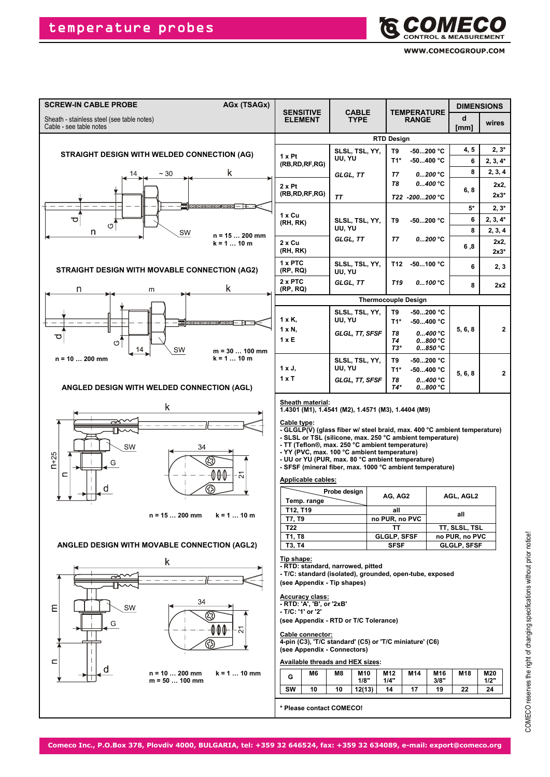